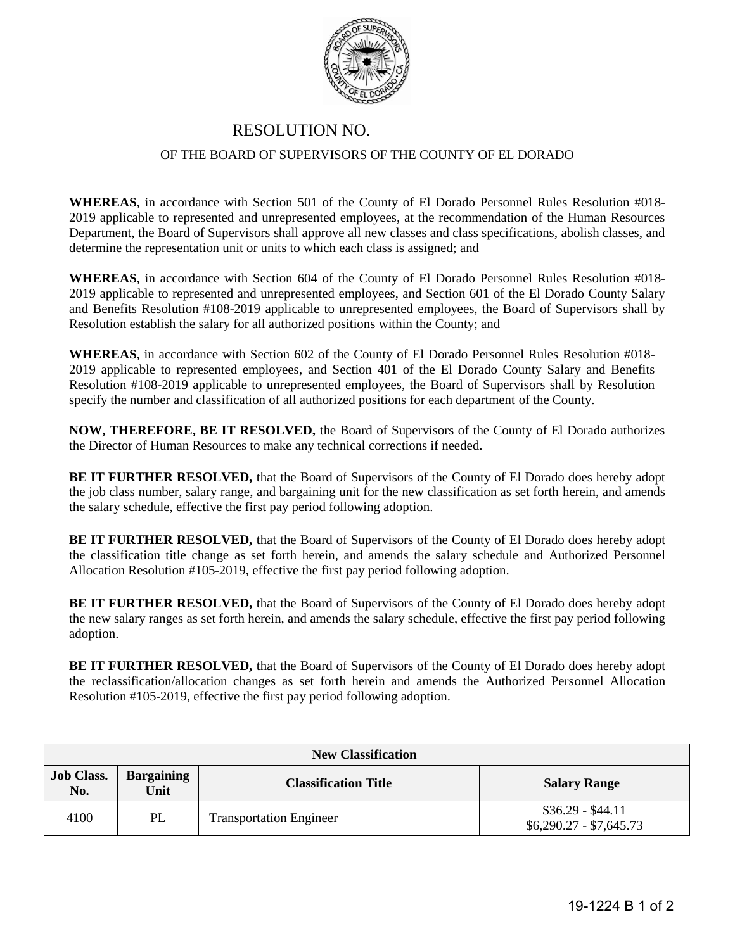

## RESOLUTION NO. OF THE BOARD OF SUPERVISORS OF THE COUNTY OF EL DORADO

**WHEREAS**, in accordance with Section 501 of the County of El Dorado Personnel Rules Resolution #018- 2019 applicable to represented and unrepresented employees, at the recommendation of the Human Resources Department, the Board of Supervisors shall approve all new classes and class specifications, abolish classes, and determine the representation unit or units to which each class is assigned; and

**WHEREAS**, in accordance with Section 604 of the County of El Dorado Personnel Rules Resolution #018- 2019 applicable to represented and unrepresented employees, and Section 601 of the El Dorado County Salary and Benefits Resolution #108-2019 applicable to unrepresented employees, the Board of Supervisors shall by Resolution establish the salary for all authorized positions within the County; and

**WHEREAS**, in accordance with Section 602 of the County of El Dorado Personnel Rules Resolution #018- 2019 applicable to represented employees, and Section 401 of the El Dorado County Salary and Benefits Resolution #108-2019 applicable to unrepresented employees, the Board of Supervisors shall by Resolution specify the number and classification of all authorized positions for each department of the County.

**NOW, THEREFORE, BE IT RESOLVED,** the Board of Supervisors of the County of El Dorado authorizes the Director of Human Resources to make any technical corrections if needed.

**BE IT FURTHER RESOLVED,** that the Board of Supervisors of the County of El Dorado does hereby adopt the job class number, salary range, and bargaining unit for the new classification as set forth herein, and amends the salary schedule, effective the first pay period following adoption.

**BE IT FURTHER RESOLVED,** that the Board of Supervisors of the County of El Dorado does hereby adopt the classification title change as set forth herein, and amends the salary schedule and Authorized Personnel Allocation Resolution #105-2019, effective the first pay period following adoption.

**BE IT FURTHER RESOLVED,** that the Board of Supervisors of the County of El Dorado does hereby adopt the new salary ranges as set forth herein, and amends the salary schedule, effective the first pay period following adoption.

**BE IT FURTHER RESOLVED,** that the Board of Supervisors of the County of El Dorado does hereby adopt the reclassification/allocation changes as set forth herein and amends the Authorized Personnel Allocation Resolution #105-2019, effective the first pay period following adoption.

| <b>New Classification</b> |                           |                                |                                              |  |  |
|---------------------------|---------------------------|--------------------------------|----------------------------------------------|--|--|
| <b>Job Class.</b><br>No.  | <b>Bargaining</b><br>Unit | <b>Classification Title</b>    | <b>Salary Range</b>                          |  |  |
| 4100                      | PL                        | <b>Transportation Engineer</b> | $$36.29 - $44.11$<br>$$6,290.27 - $7,645.73$ |  |  |